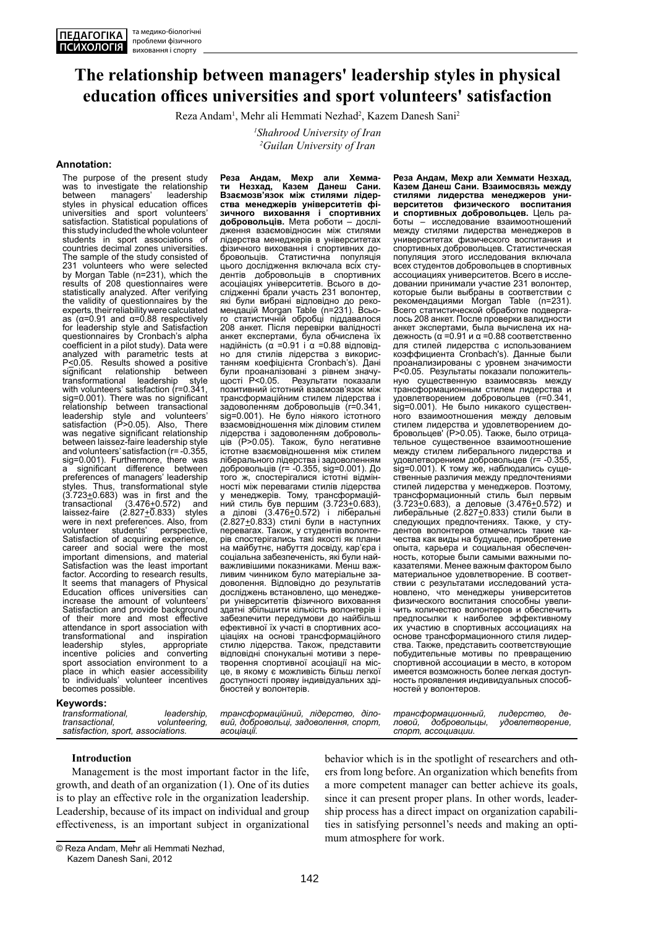# **The relationship between managers' leadership styles in physical education offices universities and sport volunteers' satisfaction**

Reza Andam<sup>1</sup>, Mehr ali Hemmati Nezhad<sup>2</sup>, Kazem Danesh Sani<sup>2</sup>

*1 Shahrood University of Iran 2 Guilan University of Iran*

**Реза Андам, Мехр али Хемма-**

#### **Annotation:**

The purpose of the present study was to investigate the relationship between managers' leadership styles in physical education offices universities and sport volunteers' satisfaction. Statistical populations of this study included the whole volunteer students in sport associations of countries decimal zones universities. The sample of the study consisted of 231 volunteers who were selected by Morgan Table (n=231), which the results of 208 questionnaires were statistically analyzed. After verifying the validity of questionnaires by the experts, their reliability were calculated as (α=0.91 and α=0.88 respectively for leadership style and Satisfaction questionnaires by Cronbach's alpha coefficient in a pilot study). Data were analyzed with parametric tests at P<0.05. Results showed a positive significant relationship between<br>transformational leadership style transformational with volunteers' satisfaction (r=0.341, sig=0.001). There was no significant relationship between transactional leadership style and volunteers' satisfaction (P>0.05). Also, There was negative significant relationship between laissez-faire leadership style and volunteers' satisfaction (r= -0.355, sig=0.001). Furthermore, there was a significant difference between preferences of managers' leadership styles. Thus, transformational style  $(3.723 \pm 0.683)$  was in first and the<br>transactional  $(3.476 \pm 0.572)$  and transactional (3.476<u>+</u>0.572) and laissez-faire (2.827±0.833) styles were in next preferences. Also, from<br>volunteer students' perspective. perspective, Satisfaction of acquiring experience, career and social were the most important dimensions, and material Satisfaction was the least important factor. According to research results, It seems that managers of Physical Education offices universities can increase the amount of volunteers' Satisfaction and provide background of their more and most effective attendance in sport association with<br>transformational and inspiration transformational and insurational transformational and intervalsed and intervalsed and intervalsed and intervalsed and intervalsed and intervalsed and intervalsed and intervalsed and intervalsed and intervalsed and interva appropriate incentive policies and converting sport association environment to a place in which easier accessibility to individuals' volunteer incentives becomes possible.

#### **ти Незхад, Казем Данеш Сани. Взаємозв'язок між стилями лідерства менеджерів університетів фізичного виховання і спортивних добровольців.** Мета роботи – дослідження взаємовідносин між стилями лідерства менеджерів в університетах фізичного виховання і спортивних добровольців. Статистична популяція цього дослідження включала всіх сту-<br>дентів добровольців в спортивних добровольців в спортивних асоціаціях університетів. Всього в дослідженні брали участь 231 волонтер, які були вибрані відповідно до рекомендацій Morgan Table (n=231). Всього статистичній обробці піддавалося 208 анкет. Після перевірки валідності анкет експертами, була обчислена їх надійність ( $\alpha$  = 0.91 і α = 0.88 відповідно для стилів лідерства з використанням коефіцієнта Cronbach's). Дані були проаналізовані з рівнем значущості P<0.05. Результати показали позитивний істотний взаємозв'язок між трансформаційним стилем лідерства і задоволенням добровольців (r=0.341, sig=0.001). Не було ніякого істотного взаємовідношення між діловим стилем лідерства і задоволенням добровольців (P>0.05). Також, було негативне істотне взаємовідношення між стилем ліберального лідерства і задоволенням добровольців (r= -0.355, sig=0.001). До того ж, спостерігалися істотні відмінності між перевагами стилів лідерства у менеджерів. Тому, трансформаційний стиль був першим (3.723<u>+</u>0.683), а ділові (3.476<u>+</u>0.572) і ліберальні (2.827+0.833) стилі були в наступних перевагах. Також, у студентів волонтерів спостерігались такі якості як плани на майбутнє, набуття досвіду, кар'єра і соціальна забезпеченість, які були найважливішими показниками. Менш важливим чинником було матеріальне задоволення. Відповідно до результатів досліджень встановлено, що менеджери університетів фізичного виховання здатні збільшити кількість волонтерів і забезпечити передумови до найбільш ефективної їх участі в спортивних асоціаціях на основі трансформаційного стилю лідерства. Також, представити відповідні спонукальні мотиви з перетворення спортивної асоціації на місце, в якому є можливість більш легкої доступності прояву індивідуальних здібностей у волонтерів.

**Реза Андам, Мехр али Хеммати Незхад, Казем Данеш Сани. Взаимосвязь между стилями лидерства менеджеров университетов физического воспитания и спортивных добровольцев.** Цель ра-- исследование взаимоотношений между стилями лидерства менеджеров в университетах физического воспитания и спортивных добровольцев. Статистическая популяция этого исследования включала всех студентов добровольцев в спортивных ассоциациях университетов. Всего в исследовании принимали участие 231 волонтер, которые были выбраны в соответствии с рекомендациями Morgan Table (n=231). Всего статистической обработке подвергалось 208 анкет. После проверки валидности анкет экспертами, была вычислена их надежность (α =0.91 и α =0.88 соответственно для стилей лидерства с использованием коэффициента Cronbach's). Данные были проанализированы с уровнем значимости P<0.05. Результаты показали положительную существенную взаимосвязь между трансформационным стилем лидерства и удовлетворением добровольцев (r=0.341, sig=0.001). Не было никакого существенного взаимоотношения между деловым стилем лидерства и удовлетворением добровольцев' (P>0.05). Также, было отрицательное существенное взаимоотношение между стилем либерального лидерства и удовлетворением добровольцев (r= -0.355, sig=0.001). К тому же, наблюдались существенные различия между предпочтениями стилей лидерства у менеджеров. Поэтому, трансформационный стиль был первым (3.723+0.683), а деловые (3.476+0.572) и либеральные (2.827<u>+</u>0.833) стили были в следующих предпочтениях. Также, у студентов волонтеров отмечались такие качества как виды на будущее, приобретение опыта, карьера и социальная обеспеченность, которые были самыми важными показателями. Менее важным фактором было материальное удовлетворение. В соответствии с результатами исследований установлено, что менеджеры университетов физического воспитания способны увеличить количество волонтеров и обеспечить предпосылки к наиболее эффективному их участию в спортивных ассоциациях на основе трансформационного стиля лидерства. Также, представить соответствующие побудительные мотивы по превращению спортивной ассоциации в место, в котором имеется возможность более легкая доступность проявления индивидуальных способностей у волонтеров.

# **Keywords:**

| <br>transformational.              | leadership,   |
|------------------------------------|---------------|
| transactional.                     | volunteering. |
| satisfaction, sport, associations. |               |

*трансформаційний, лідерство, діловий, добровольці, задоволення, спорт, асоціації.*

*трансформационный, лидерство, деловой, добровольцы, удовлетворение, спорт, ассоциации.*

**Introduction** 

Management is the most important factor in the life, growth, and death of an organization (1). One of its duties is to play an effective role in the organization leadership. Leadership, because of its impact on individual and group effectiveness, is an important subject in organizational

behavior which is in the spotlight of researchers and others from long before. An organization which benefits from a more competent manager can better achieve its goals, since it can present proper plans. In other words, leadership process has a direct impact on organization capabilities in satisfying personnel's needs and making an optimum atmosphere for work.

<sup>©</sup> Reza Andam, Mehr ali Hemmati Nezhad, Kazem Danesh Sani, 2012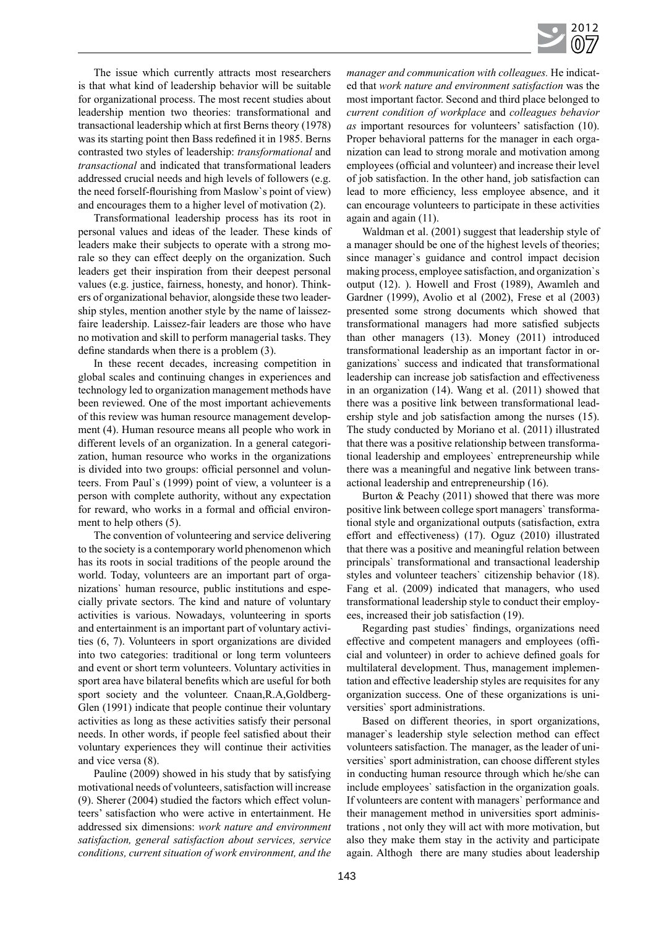

The issue which currently attracts most researchers is that what kind of leadership behavior will be suitable for organizational process. The most recent studies about leadership mention two theories: transformational and transactional leadership which at first Berns theory (1978) was its starting point then Bass redefined it in 1985. Berns contrasted two styles of leadership: *transformational* and *transactional* and indicated that transformational leaders addressed crucial needs and high levels of followers (e.g. the need forself-flourishing from Maslow`s point of view) and encourages them to a higher level of motivation (2).

Transformational leadership process has its root in personal values and ideas of the leader. These kinds of leaders make their subjects to operate with a strong morale so they can effect deeply on the organization. Such leaders get their inspiration from their deepest personal values (e.g. justice, fairness, honesty, and honor). Thinkers of organizational behavior, alongside these two leadership styles, mention another style by the name of laissezfaire leadership. Laissez-fair leaders are those who have no motivation and skill to perform managerial tasks. They define standards when there is a problem (3).

In these recent decades, increasing competition in global scales and continuing changes in experiences and technology led to organization management methods have been reviewed. One of the most important achievements of this review was human resource management development (4). Human resource means all people who work in different levels of an organization. In a general categorization, human resource who works in the organizations is divided into two groups: official personnel and volunteers. From Paul`s (1999) point of view, a volunteer is a person with complete authority, without any expectation for reward, who works in a formal and official environment to help others (5).

The convention of volunteering and service delivering to the society is a contemporary world phenomenon which has its roots in social traditions of the people around the world. Today, volunteers are an important part of organizations` human resource, public institutions and especially private sectors. The kind and nature of voluntary activities is various. Nowadays, volunteering in sports and entertainment is an important part of voluntary activities (6, 7). Volunteers in sport organizations are divided into two categories: traditional or long term volunteers and event or short term volunteers. Voluntary activities in sport area have bilateral benefits which are useful for both sport society and the volunteer. Cnaan,R.A,Goldberg-Glen (1991) indicate that people continue their voluntary activities as long as these activities satisfy their personal needs. In other words, if people feel satisfied about their voluntary experiences they will continue their activities and vice versa (8).

Pauline (2009) showed in his study that by satisfying motivational needs of volunteers, satisfaction will increase (9). Sherer (2004) studied the factors which effect volunteers' satisfaction who were active in entertainment. He addressed six dimensions: *work nature and environment satisfaction, general satisfaction about services, service conditions, current situation of work environment, and the*  *manager and communication with colleagues.* He indicated that *work nature and environment satisfaction* was the most important factor. Second and third place belonged to *current condition of workplace* and *colleagues behavior as* important resources for volunteers' satisfaction (10). Proper behavioral patterns for the manager in each organization can lead to strong morale and motivation among employees (official and volunteer) and increase their level of job satisfaction. In the other hand, job satisfaction can lead to more efficiency, less employee absence, and it can encourage volunteers to participate in these activities again and again (11).

Waldman et al. (2001) suggest that leadership style of a manager should be one of the highest levels of theories; since manager`s guidance and control impact decision making process, employee satisfaction, and organization`s output (12). ). Howell and Frost (1989), Awamleh and Gardner (1999), Avolio et al (2002), Frese et al (2003) presented some strong documents which showed that transformational managers had more satisfied subjects than other managers (13). Money (2011) introduced transformational leadership as an important factor in organizations` success and indicated that transformational leadership can increase job satisfaction and effectiveness in an organization (14). Wang et al. (2011) showed that there was a positive link between transformational leadership style and job satisfaction among the nurses (15). The study conducted by Moriano et al. (2011) illustrated that there was a positive relationship between transformational leadership and employees` entrepreneurship while there was a meaningful and negative link between transactional leadership and entrepreneurship (16).

Burton & Peachy (2011) showed that there was more positive link between college sport managers` transformational style and organizational outputs (satisfaction, extra effort and effectiveness) (17). Oguz (2010) illustrated that there was a positive and meaningful relation between principals` transformational and transactional leadership styles and volunteer teachers` citizenship behavior (18). Fang et al. (2009) indicated that managers, who used transformational leadership style to conduct their employees, increased their job satisfaction (19).

Regarding past studies` findings, organizations need effective and competent managers and employees (official and volunteer) in order to achieve defined goals for multilateral development. Thus, management implementation and effective leadership styles are requisites for any organization success. One of these organizations is universities` sport administrations.

Based on different theories, in sport organizations, manager`s leadership style selection method can effect volunteers satisfaction. The manager, as the leader of universities` sport administration, can choose different styles in conducting human resource through which he/she can include employees` satisfaction in the organization goals. If volunteers are content with managers` performance and their management method in universities sport administrations , not only they will act with more motivation, but also they make them stay in the activity and participate again. Althogh there are many studies about leadership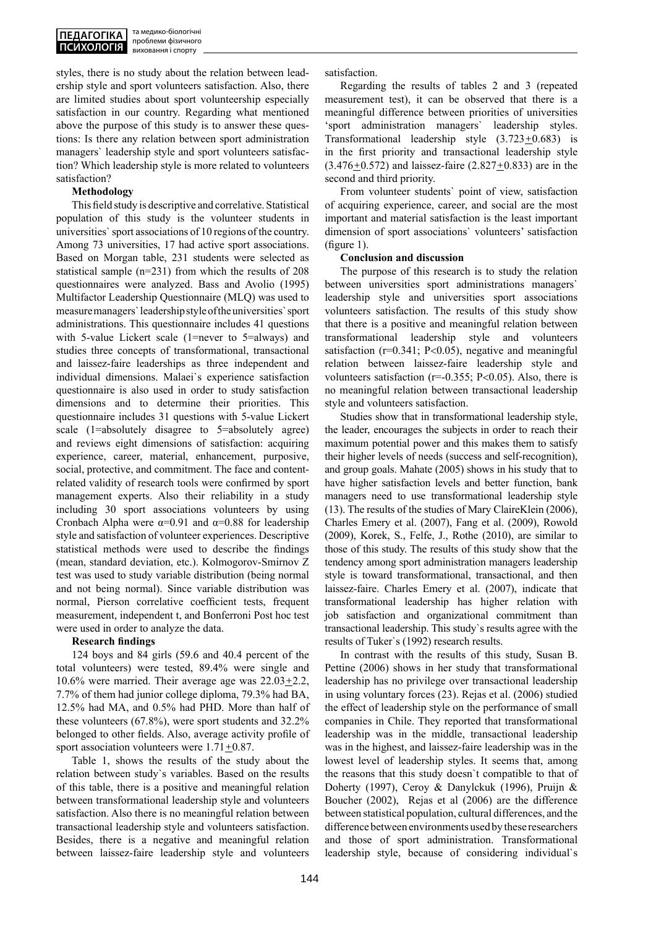styles, there is no study about the relation between leadership style and sport volunteers satisfaction. Also, there are limited studies about sport volunteership especially satisfaction in our country. Regarding what mentioned above the purpose of this study is to answer these questions: Is there any relation between sport administration managers` leadership style and sport volunteers satisfaction? Which leadership style is more related to volunteers satisfaction?

## **Methodology**

This field study is descriptive and correlative. Statistical population of this study is the volunteer students in universities` sport associations of 10 regions of the country. Among 73 universities, 17 had active sport associations. Based on Morgan table, 231 students were selected as statistical sample (n=231) from which the results of 208 questionnaires were analyzed. Bass and Avolio (1995) Multifactor Leadership Questionnaire (MLQ) was used to measure managers` leadership style of the universities` sport administrations. This questionnaire includes 41 questions with 5-value Lickert scale (1=never to 5=always) and studies three concepts of transformational, transactional and laissez-faire leaderships as three independent and individual dimensions. Malaei`s experience satisfaction questionnaire is also used in order to study satisfaction dimensions and to determine their priorities. This questionnaire includes 31 questions with 5-value Lickert scale (1=absolutely disagree to 5=absolutely agree) and reviews eight dimensions of satisfaction: acquiring experience, career, material, enhancement, purposive, social, protective, and commitment. The face and contentrelated validity of research tools were confirmed by sport management experts. Also their reliability in a study including 30 sport associations volunteers by using Cronbach Alpha were  $\alpha=0.91$  and  $\alpha=0.88$  for leadership style and satisfaction of volunteer experiences. Descriptive statistical methods were used to describe the findings (mean, standard deviation, etc.). Kolmogorov-Smirnov Z test was used to study variable distribution (being normal and not being normal). Since variable distribution was normal, Pierson correlative coefficient tests, frequent measurement, independent t, and Bonferroni Post hoc test were used in order to analyze the data.

### **Research findings**

124 boys and 84 girls (59.6 and 40.4 percent of the total volunteers) were tested, 89.4% were single and 10.6% were married. Their average age was 22.03*+*2.2, 7.7% of them had junior college diploma, 79.3% had BA, 12.5% had MA, and 0.5% had PHD. More than half of these volunteers (67.8%), were sport students and 32.2% belonged to other fields. Also, average activity profile of sport association volunteers were 1.71*+*0.87.

Table 1, shows the results of the study about the relation between study`s variables. Based on the results of this table, there is a positive and meaningful relation between transformational leadership style and volunteers satisfaction. Also there is no meaningful relation between transactional leadership style and volunteers satisfaction. Besides, there is a negative and meaningful relation between laissez-faire leadership style and volunteers

satisfaction.

Regarding the results of tables 2 and 3 (repeated measurement test), it can be observed that there is a meaningful difference between priorities of universities 'sport administration managers` leadership styles. Transformational leadership style (3.723*+*0.683) is in the first priority and transactional leadership style (3.476*+*0.572) and laissez-faire (2.827*+*0.833) are in the second and third priority.

From volunteer students` point of view, satisfaction of acquiring experience, career, and social are the most important and material satisfaction is the least important dimension of sport associations` volunteers' satisfaction (figure 1).

### **Conclusion and discussion**

The purpose of this research is to study the relation between universities sport administrations managers leadership style and universities sport associations volunteers satisfaction. The results of this study show that there is a positive and meaningful relation between transformational leadership style and volunteers satisfaction (r=0.341; P<0.05), negative and meaningful relation between laissez-faire leadership style and volunteers satisfaction ( $r=0.355$ ; P<0.05). Also, there is no meaningful relation between transactional leadership style and volunteers satisfaction.

Studies show that in transformational leadership style, the leader, encourages the subjects in order to reach their maximum potential power and this makes them to satisfy their higher levels of needs (success and self-recognition), and group goals. Mahate (2005) shows in his study that to have higher satisfaction levels and better function, bank managers need to use transformational leadership style (13). The results of the studies of Mary ClaireKlein (2006), Charles Emery et al. (2007), Fang et al. (2009), Rowold (2009), Korek, S., Felfe, J., Rothe (2010), are similar to those of this study. The results of this study show that the tendency among sport administration managers leadership style is toward transformational, transactional, and then laissez-faire. Charles Emery et al. (2007), indicate that transformational leadership has higher relation with job satisfaction and organizational commitment than transactional leadership. This study`s results agree with the results of Tuker`s (1992) research results.

In contrast with the results of this study, Susan B. Pettine (2006) shows in her study that transformational leadership has no privilege over transactional leadership in using voluntary forces (23). Rejas et al. (2006) studied the effect of leadership style on the performance of small companies in Chile. They reported that transformational leadership was in the middle, transactional leadership was in the highest, and laissez-faire leadership was in the lowest level of leadership styles. It seems that, among the reasons that this study doesn`t compatible to that of Doherty (1997), Ceroy & Danylckuk (1996), Pruijn & Boucher (2002), Rejas et al (2006) are the difference between statistical population, cultural differences, and the difference between environments used by these researchers and those of sport administration. Transformational leadership style, because of considering individual`s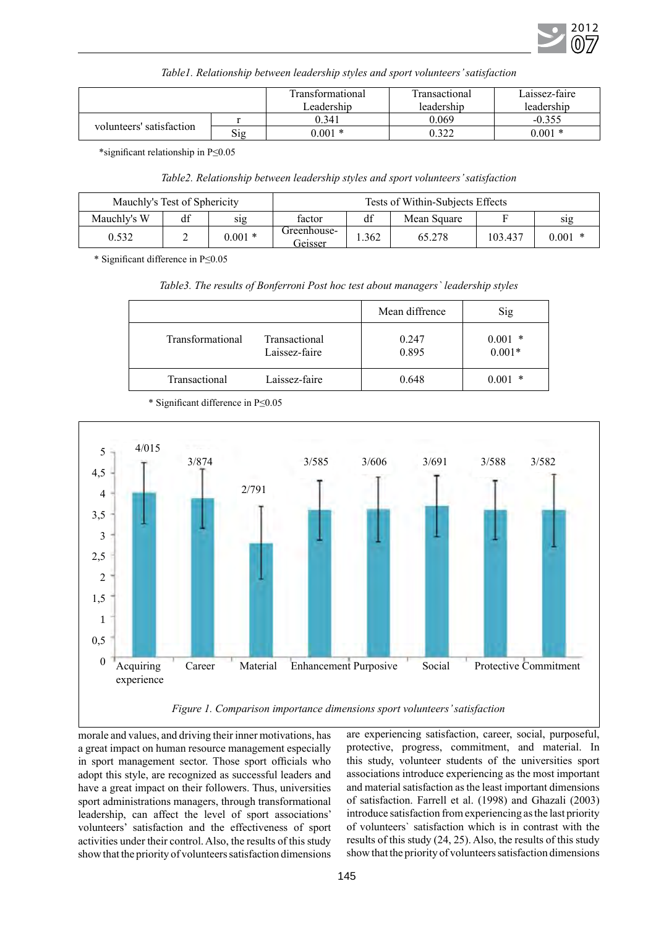

|  |  | Table1. Relationship between leadership styles and sport volunteers' satisfaction |
|--|--|-----------------------------------------------------------------------------------|
|  |  |                                                                                   |

|                          |     | <b>Transformational</b>  | Transactional | Laissez-faire |  |
|--------------------------|-----|--------------------------|---------------|---------------|--|
|                          |     | Leadership<br>leadership |               | leadership    |  |
| volunteers' satisfaction |     | 0.341                    | 0.069         | $-0.355$      |  |
|                          | Sig | $0.001*$                 | 0.322         | $0.001*$      |  |

\*significant relationship in P≤0.05

*Table2. Relationship between leadership styles and sport volunteers' satisfaction*

| Mauchly's Test of Sphericity |   | Tests of Within-Subjects Effects |                        |       |             |         |           |
|------------------------------|---|----------------------------------|------------------------|-------|-------------|---------|-----------|
| Mauchly's W                  |   | sig                              | factor                 | df    | Mean Square |         | SIg       |
| 0.532                        | ∸ | $0.001*$                         | Greenhouse-<br>Geisser | 1.362 | 65.278      | 103.437 | $0.001$ * |

\* Significant difference in P≤0.05

|                  |                                | Mean diffrence | Sig                   |
|------------------|--------------------------------|----------------|-----------------------|
| Transformational | Transactional<br>Laissez-faire | 0.247<br>0.895 | $0.001$ *<br>$0.001*$ |
| Transactional    | Laissez-faire                  | 0.648          | $0.001$ *             |



\* Significant difference in P≤0.05

morale and values, and driving their inner motivations, has a great impact on human resource management especially in sport management sector. Those sport officials who adopt this style, are recognized as successful leaders and have a great impact on their followers. Thus, universities sport administrations managers, through transformational leadership, can affect the level of sport associations' volunteers' satisfaction and the effectiveness of sport activities under their control. Also, the results of this study show that the priority of volunteers satisfaction dimensions are experiencing satisfaction, career, social, purposeful, protective, progress, commitment, and material. In this study, volunteer students of the universities sport associations introduce experiencing as the most important and material satisfaction as the least important dimensions of satisfaction. Farrell et al. (1998) and Ghazali (2003) introduce satisfaction from experiencing as the last priority of volunteers` satisfaction which is in contrast with the results of this study (24, 25). Also, the results of this study show that the priority of volunteers satisfaction dimensions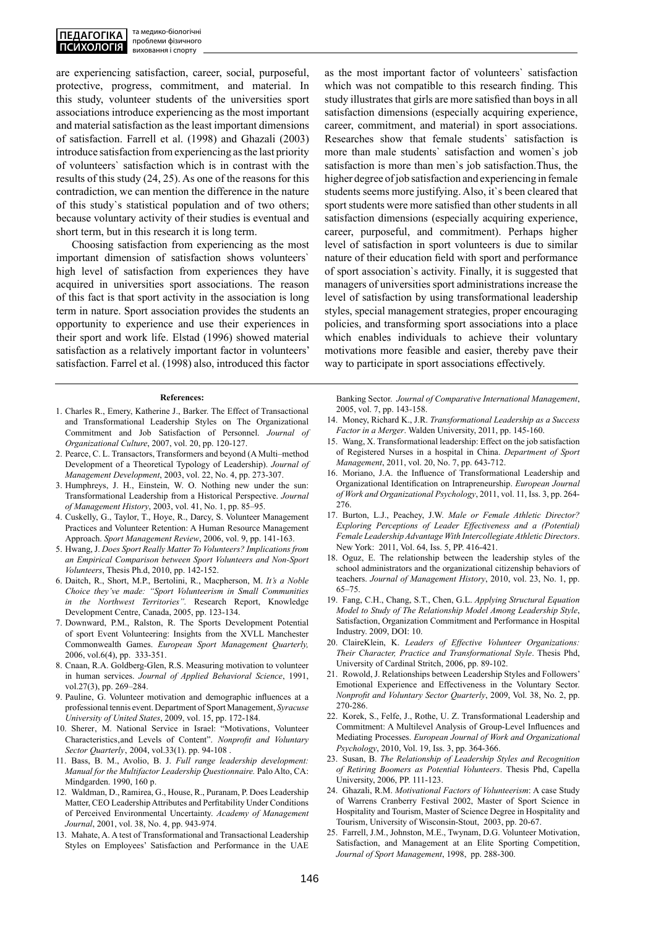#### та медико-біологічні проблеми фізичного виховання і спорту **ПЕДАГОГІКА ПСИХОЛОГІЯ**

are experiencing satisfaction, career, social, purposeful, protective, progress, commitment, and material. In this study, volunteer students of the universities sport associations introduce experiencing as the most important and material satisfaction as the least important dimensions of satisfaction. Farrell et al. (1998) and Ghazali (2003) introduce satisfaction from experiencing as the last priority of volunteers` satisfaction which is in contrast with the results of this study (24, 25). As one of the reasons for this contradiction, we can mention the difference in the nature of this study`s statistical population and of two others; because voluntary activity of their studies is eventual and short term, but in this research it is long term.

Choosing satisfaction from experiencing as the most important dimension of satisfaction shows volunteers` high level of satisfaction from experiences they have acquired in universities sport associations. The reason of this fact is that sport activity in the association is long term in nature. Sport association provides the students an opportunity to experience and use their experiences in their sport and work life. Elstad (1996) showed material satisfaction as a relatively important factor in volunteers' satisfaction. Farrel et al. (1998) also, introduced this factor

#### **References:**

- 1. Charles R., Emery, Katherine J., Barker. The Effect of Transactional and Transformational Leadership Styles on The Organizational Commitment and Job Satisfaction of Personnel. *Journal of Organizational Culture*, 2007, vol. 20, pp. 120-127.
- 2. Pearce, C. L. Transactors, Transformers and beyond (A Multi–method Development of a Theoretical Typology of Leadership). *Journal of Management Development*, 2003, vol. 22, No. 4, pp. 273-307.
- 3. Humphreys, J. H., Einstein, W. O. Nothing new under the sun: Transformational Leadership from a Historical Perspective. *Journal of Management History*, 2003, vol. 41, No. 1, pp. 85–95.
- 4. Cuskelly, G., Taylor, T., Hoye, R., Darcy, S. Volunteer Management Practices and Volunteer Retention: A Human Resource Management Approach. *Sport Management Review*, 2006, vol. 9, pp. 141-163.
- 5. Hwang, J. *Does Sport Really Matter To Volunteers? Implications from an Empirical Comparison between Sport Volunteers and Non-Sport Volunteers*, Thesis Ph.d, 2010, pp. 142-152.
- 6. Daitch, R., Short, M.P., Bertolini, R., Macpherson, M. *It's a Noble Choice they've made: "Sport Volunteerism in Small Communities in the Northwest Territories".* Research Report, Knowledge Development Centre, Canada, 2005, pp. 123-134.
- 7. Downward, P.M., Ralston, R. The Sports Development Potential of sport Event Volunteering: Insights from the XVLL Manchester Commonwealth Games. *European Sport Management Quarterly,* 2006, vol.6(4), pp. 333-351.
- 8. Cnaan, R.A. Goldberg-Glen, R.S. Measuring motivation to volunteer in human services. *Journal of Applied Behavioral Science*, 1991, vol.27(3), pp. 269–284.
- 9. Pauline, G. Volunteer motivation and demographic influences at a professional tennis event. Department of Sport Management, *Syracuse University of United States*, 2009, vol. 15, pp. 172-184.
- 10. Sherer, M. National Service in Israel: "Motivations, Volunteer Characteristics, and Levels of Content". *Nonprofit and Voluntary* Sector Quarterly, 2004, vol.33(1). pp. 94-108
- 11. Bass, B. M., Avolio, B. J. *Full range leadership development: Manual for the Multifactor Leadership Questionnaire.* Palo Alto, CA: Mindgarden. 1990, 160 p.
- 12. Waldman, D., Ramirea, G., House, R., Puranam, P. Does Leadership Matter, CEO Leadership Attributes and Perfitability Under Conditions of Perceived Environmental Uncertainty. *Academy of Management Journal*, 2001, vol. 38, No. 4, pp. 943-974.
- 13. Mahate, A. A test of Transformational and Transactional Leadership Styles on Employees' Satisfaction and Performance in the UAE

as the most important factor of volunteers` satisfaction which was not compatible to this research finding. This study illustrates that girls are more satisfied than boys in all satisfaction dimensions (especially acquiring experience, career, commitment, and material) in sport associations. Researches show that female students` satisfaction is more than male students` satisfaction and women`s job satisfaction is more than men`s job satisfaction.Thus, the higher degree of job satisfaction and experiencing in female students seems more justifying. Also, it`s been cleared that sport students were more satisfied than other students in all satisfaction dimensions (especially acquiring experience, career, purposeful, and commitment). Perhaps higher level of satisfaction in sport volunteers is due to similar nature of their education field with sport and performance of sport association`s activity. Finally, it is suggested that managers of universities sport administrations increase the level of satisfaction by using transformational leadership styles, special management strategies, proper encouraging policies, and transforming sport associations into a place which enables individuals to achieve their voluntary motivations more feasible and easier, thereby pave their way to participate in sport associations effectively.

Banking Sector. *Journal of Comparative International Management*, 2005, vol. 7, pp. 143-158.

- 14. Money, Richard K., J.R. *Transformational Leadership as a Success Factor in a Merger*. Walden University, 2011, pp. 145-160.
- 15. Wang, X. Transformational leadership: Effect on the job satisfaction of Registered Nurses in a hospital in China. *Department of Sport Management*, 2011, vol. 20, No. 7, pp. 643-712.
- 16. Moriano, J.A. the Influence of Transformational Leadership and Organizational Identification on Intrapreneurship. *European Journal of Work and Organizational Psychology*, 2011, vol. 11, Iss. 3, pp. 264- 276.
- 17. Burton, L.J., Peachey, J.W. *Male or Female Athletic Director? Exploring Perceptions of Leader Effectiveness and a (Potential) Female Leadership Advantage With Intercollegiate Athletic Directors*. New York: 2011, Vol. 64, Iss. 5, PP. 416-421.
- 18. Oguz, E. The relationship between the leadership styles of the school administrators and the organizational citizenship behaviors of teachers. *Journal of Management History*, 2010, vol. 23, No. 1, pp. 65–75.
- 19. Fang, C.H., Chang, S.T., Chen, G.L. *Applying Structural Equation Model to Study of The Relationship Model Among Leadership Style*, Satisfaction, Organization Commitment and Performance in Hospital Industry. 2009, DOI: 10.
- 20. ClaireKlein, K. *Leaders of Effective Volunteer Organizations: Their Character, Practice and Transformational Style*. Thesis Phd, University of Cardinal Stritch, 2006, pp. 89-102.
- 21. Rowold, J. Relationships between Leadership Styles and Followers' Emotional Experience and Effectiveness in the Voluntary Sector. *Nonprofit and Voluntary Sector Quarterly*, 2009, Vol. 38, No. 2, pp. 270-286.
- 22. Korek, S., Felfe, J., Rothe, U. Z. Transformational Leadership and Commitment: A Multilevel Analysis of Group-Level Influences and Mediating Processes. *European Journal of Work and Organizational Psychology*, 2010, Vol. 19, Iss. 3, pp. 364-366.
- 23. Susan, B. *The Relationship of Leadership Styles and Recognition of Retiring Boomers as Potential Volunteers*. Thesis Phd, Capella University, 2006, PP. 111-123.
- 24. Ghazali, R.M. *Motivational Factors of Volunteerism*: A case Study of Warrens Cranberry Festival 2002, Master of Sport Science in Hospitality and Tourism, Master of Science Degree in Hospitality and Tourism, University of Wisconsin-Stout, 2003, pp. 20-67.
- 25. Farrell, J.M., Johnston, M.E., Twynam, D.G. Volunteer Motivation, Satisfaction, and Management at an Elite Sporting Competition, *Journal of Sport Management*, 1998, pp. 288-300.